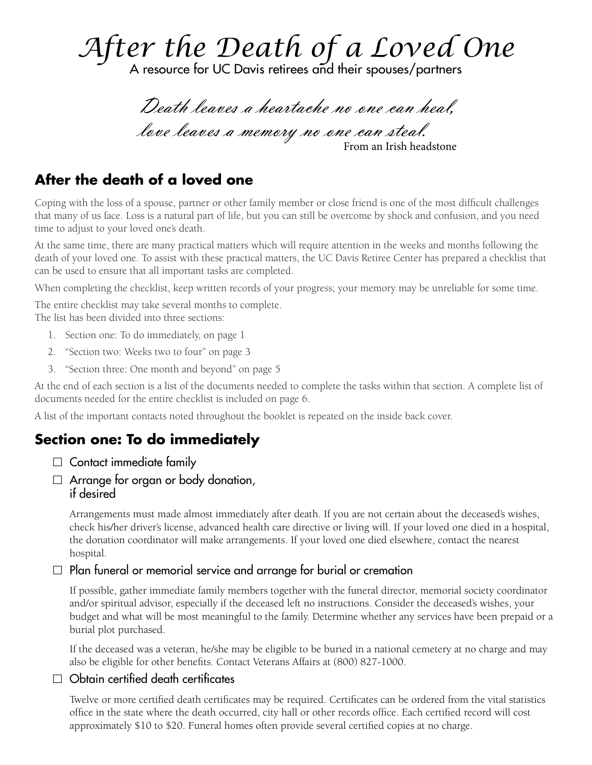# *After the Death of a Loved One*

Death leaves a heartache no one can heal, love leaves a memory no one can steal.<br>From an Irish headstone

# **After the death of a loved one**

Coping with the loss of a spouse, partner or other family member or close friend is one of the most difficult challenges that many of us face. Loss is a natural part of life, but you can still be overcome by shock and confusion, and you need time to adjust to your loved one's death.

At the same time, there are many practical matters which will require attention in the weeks and months following the death of your loved one. To assist with these practical matters, the UC Davis Retiree Center has prepared a checklist that can be used to ensure that all important tasks are completed.

When completing the checklist, keep written records of your progress; your memory may be unreliable for some time.

The entire checklist may take several months to complete. The list has been divided into three sections:

- 1. Section one: To do immediately, on page 1
- 2. "Section two: Weeks two to four" on page 3
- 3. "Section three: One month and beyond" on page 5

At the end of each section is a list of the documents needed to complete the tasks within that section. A complete list of documents needed for the entire checklist is included on page 6.

A list of the important contacts noted throughout the booklet is repeated on the inside back cover.

# **Section one: To do immediately**

- $\Box$  Contact immediate family
- $\Box$  Arrange for organ or body donation, if desired

Arrangements must made almost immediately after death. If you are not certain about the deceased's wishes, check his/her driver's license, advanced health care directive or living will. If your loved one died in a hospital, the donation coordinator will make arrangements. If your loved one died elsewhere, contact the nearest hospital.

#### $\Box$  Plan funeral or memorial service and arrange for burial or cremation

If possible, gather immediate family members together with the funeral director, memorial society coordinator and/or spiritual advisor, especially if the deceased left no instructions. Consider the deceased's wishes, your budget and what will be most meaningful to the family. Determine whether any services have been prepaid or a burial plot purchased.

If the deceased was a veteran, he/she may be eligible to be buried in a national cemetery at no charge and may also be eligible for other benefits. Contact Veterans Affairs at (800) 827-1000.

## $\Box$  Obtain certified death certificates

Twelve or more certified death certificates may be required. Certificates can be ordered from the vital statistics office in the state where the death occurred, city hall or other records office. Each certified record will cost approximately \$10 to \$20. Funeral homes often provide several certified copies at no charge.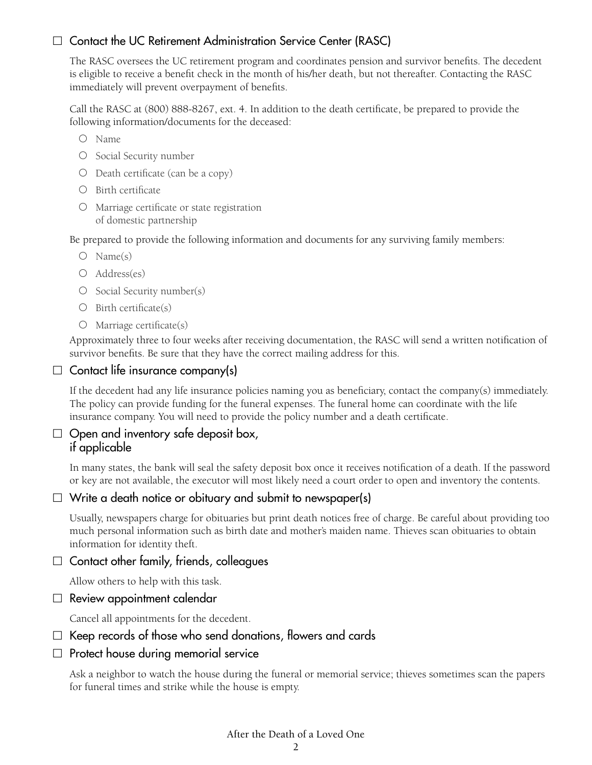## $\Box$  Contact the UC Retirement Administration Service Center (RASC)

The RASC oversees the UC retirement program and coordinates pension and survivor benefits. The decedent is eligible to receive a benefit check in the month of his/her death, but not thereafter. Contacting the RASC immediately will prevent overpayment of benefits.

Call the RASC at (800) 888-8267, ext. 4. In addition to the death certificate, be prepared to provide the following information/documents for the deceased:

- { Name
- O Social Security number
- ${\circ}$  Death certificate (can be a copy)
- { Birth certificate
- { Marriage certificate or state registration of domestic partnership

Be prepared to provide the following information and documents for any surviving family members:

- ${\rm O}$  Name(s)
- ${\circ}$  Address(es)
- ${\circ}$  Social Security number(s)
- ${\rm O}$  Birth certificate(s)
- { Marriage certificate(s)

Approximately three to four weeks after receiving documentation, the RASC will send a written notification of survivor benefits. Be sure that they have the correct mailing address for this.

#### $\Box$  Contact life insurance company(s)

If the decedent had any life insurance policies naming you as beneficiary, contact the company(s) immediately. The policy can provide funding for the funeral expenses. The funeral home can coordinate with the life insurance company. You will need to provide the policy number and a death certificate.

#### $\Box$  Open and inventory safe deposit box, if applicable

In many states, the bank will seal the safety deposit box once it receives notification of a death. If the password or key are not available, the executor will most likely need a court order to open and inventory the contents.

#### $\Box$  Write a death notice or obituary and submit to newspaper(s)

Usually, newspapers charge for obituaries but print death notices free of charge. Be careful about providing too much personal information such as birth date and mother's maiden name. Thieves scan obituaries to obtain information for identity theft.

 $\Box$  Contact other family, friends, colleagues

Allow others to help with this task.

#### $\Box$  Review appointment calendar

Cancel all appointments for the decedent.

#### $\Box$  Keep records of those who send donations, flowers and cards

#### $\Box$  Protect house during memorial service

Ask a neighbor to watch the house during the funeral or memorial service; thieves sometimes scan the papers for funeral times and strike while the house is empty.

#### After the Death of a Loved One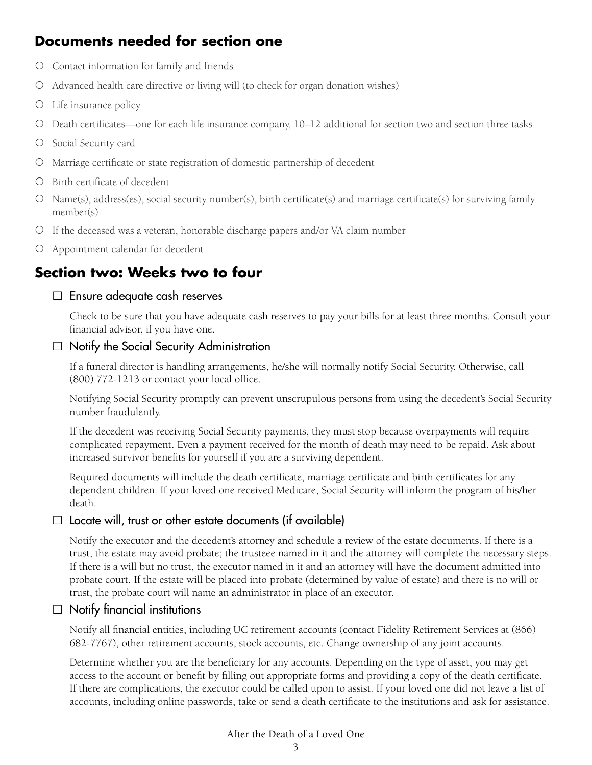# **Documents needed for section one**

- { Contact information for family and friends
- { Advanced health care directive or living will (to check for organ donation wishes)
- { Life insurance policy
- { Death certificates—one for each life insurance company, 10–12 additional for section two and section three tasks
- { Social Security card
- { Marriage certificate or state registration of domestic partnership of decedent
- { Birth certificate of decedent
- ${\circ}$  Name(s), address(es), social security number(s), birth certificate(s) and marriage certificate(s) for surviving family member(s)
- { If the deceased was a veteran, honorable discharge papers and/or VA claim number
- { Appointment calendar for decedent

# **Section two: Weeks two to four**

#### $\Box$  Ensure adequate cash reserves

Check to be sure that you have adequate cash reserves to pay your bills for at least three months. Consult your financial advisor, if you have one.

#### $\Box$  Notify the Social Security Administration

If a funeral director is handling arrangements, he/she will normally notify Social Security. Otherwise, call (800) 772-1213 or contact your local office.

Notifying Social Security promptly can prevent unscrupulous persons from using the decedent's Social Security number fraudulently.

If the decedent was receiving Social Security payments, they must stop because overpayments will require complicated repayment. Even a payment received for the month of death may need to be repaid. Ask about increased survivor benefits for yourself if you are a surviving dependent.

Required documents will include the death certificate, marriage certificate and birth certificates for any dependent children. If your loved one received Medicare, Social Security will inform the program of his/her death.

## $\Box$  Locate will, trust or other estate documents (if available)

Notify the executor and the decedent's attorney and schedule a review of the estate documents. If there is a trust, the estate may avoid probate; the trusteee named in it and the attorney will complete the necessary steps. If there is a will but no trust, the executor named in it and an attorney will have the document admitted into probate court. If the estate will be placed into probate (determined by value of estate) and there is no will or trust, the probate court will name an administrator in place of an executor.

## $\Box$  Notify financial institutions

Notify all financial entities, including UC retirement accounts (contact Fidelity Retirement Services at (866) 682-7767), other retirement accounts, stock accounts, etc. Change ownership of any joint accounts.

Determine whether you are the beneficiary for any accounts. Depending on the type of asset, you may get access to the account or benefit by filling out appropriate forms and providing a copy of the death certificate. If there are complications, the executor could be called upon to assist. If your loved one did not leave a list of accounts, including online passwords, take or send a death certificate to the institutions and ask for assistance.

## After the Death of a Loved One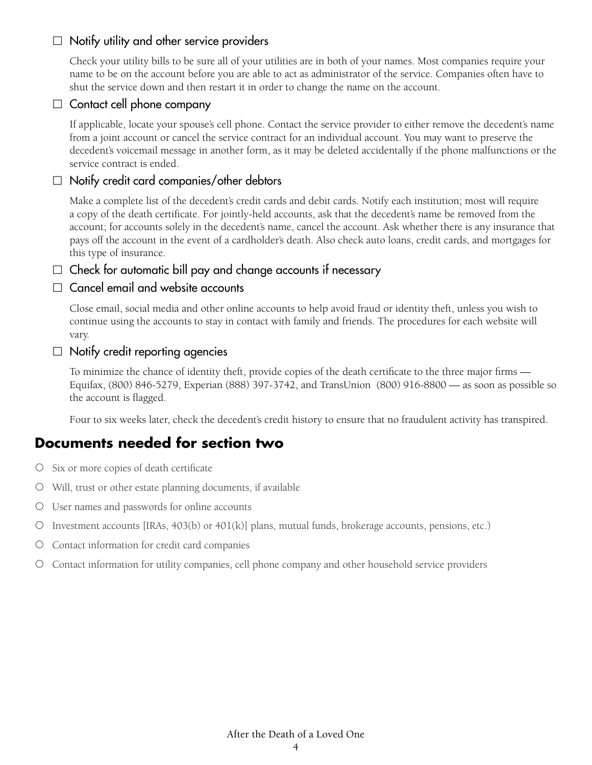#### $\Box$  Notify utility and other service providers

Check your utility bills to be sure all of your utilities are in both of your names. Most companies require your name to be on the account before you are able to act as administrator of the service. Companies often have to shut the service down and then restart it in order to change the name on the account.

## $\Box$  Contact cell phone company

If applicable, locate your spouse's cell phone. Contact the service provider to either remove the decedent's name from a joint account or cancel the service contract for an individual account. You may want to preserve the decedent's voicemail message in another form, as it may be deleted accidentally if the phone malfunctions or the service contract is ended.

#### $\Box$  Notify credit card companies/other debtors

Make a complete list of the decedent's credit cards and debit cards. Notify each institution; most will require a copy of the death certificate. For jointly-held accounts, ask that the decedent's name be removed from the account; for accounts solely in the decedent's name, cancel the account. Ask whether there is any insurance that pays off the account in the event of a cardholder's death. Also check auto loans, credit cards, and mortgages for this type of insurance.

 $\Box$  Check for automatic bill pay and change accounts if necessary

#### $\Box$  Cancel email and website accounts

Close email, social media and other online accounts to help avoid fraud or identity theft, unless you wish to continue using the accounts to stay in contact with family and friends. The procedures for each website will vary.

#### $\Box$  Notify credit reporting agencies

To minimize the chance of identity theft, provide copies of the death certificate to the three major firms — Equifax, (800) 846-5279, Experian (888) 397-3742, and TransUnion (800) 916-8800 — as soon as possible so the account is flagged.

Four to six weeks later, check the decedent's credit history to ensure that no fraudulent activity has transpired.

# **Documents needed for section two**

- { Six or more copies of death certificate
- ${\circ}$  Will, trust or other estate planning documents, if available
- { User names and passwords for online accounts
- ${\rm O}$  Investment accounts [IRAs, 403(b) or 401(k)] plans, mutual funds, brokerage accounts, pensions, etc.)
- { Contact information for credit card companies
- { Contact information for utility companies, cell phone company and other household service providers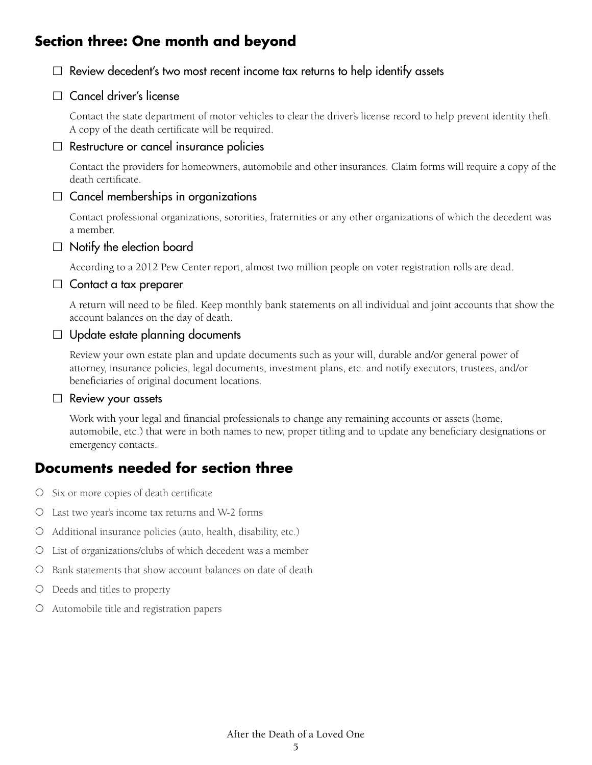# **Section three: One month and beyond**



 $\Box$  Cancel driver's license

Contact the state department of motor vehicles to clear the driver's license record to help prevent identity theft. A copy of the death certificate will be required.

#### $\Box$  Restructure or cancel insurance policies

Contact the providers for homeowners, automobile and other insurances. Claim forms will require a copy of the death certificate.

#### $\Box$  Cancel memberships in organizations

Contact professional organizations, sororities, fraternities or any other organizations of which the decedent was a member.

#### $\Box$  Notify the election board

According to a 2012 Pew Center report, almost two million people on voter registration rolls are dead.

#### $\Box$  Contact a tax preparer

A return will need to be filed. Keep monthly bank statements on all individual and joint accounts that show the account balances on the day of death.

#### $\Box$  Update estate planning documents

Review your own estate plan and update documents such as your will, durable and/or general power of attorney, insurance policies, legal documents, investment plans, etc. and notify executors, trustees, and/or beneficiaries of original document locations.

#### $\Box$  Review your assets

Work with your legal and financial professionals to change any remaining accounts or assets (home, automobile, etc.) that were in both names to new, proper titling and to update any beneficiary designations or emergency contacts.

# **Documents needed for section three**

- { Six or more copies of death certificate
- { Last two year's income tax returns and W-2 forms
- { Additional insurance policies (auto, health, disability, etc.)
- { List of organizations/clubs of which decedent was a member
- { Bank statements that show account balances on date of death
- { Deeds and titles to property
- { Automobile title and registration papers